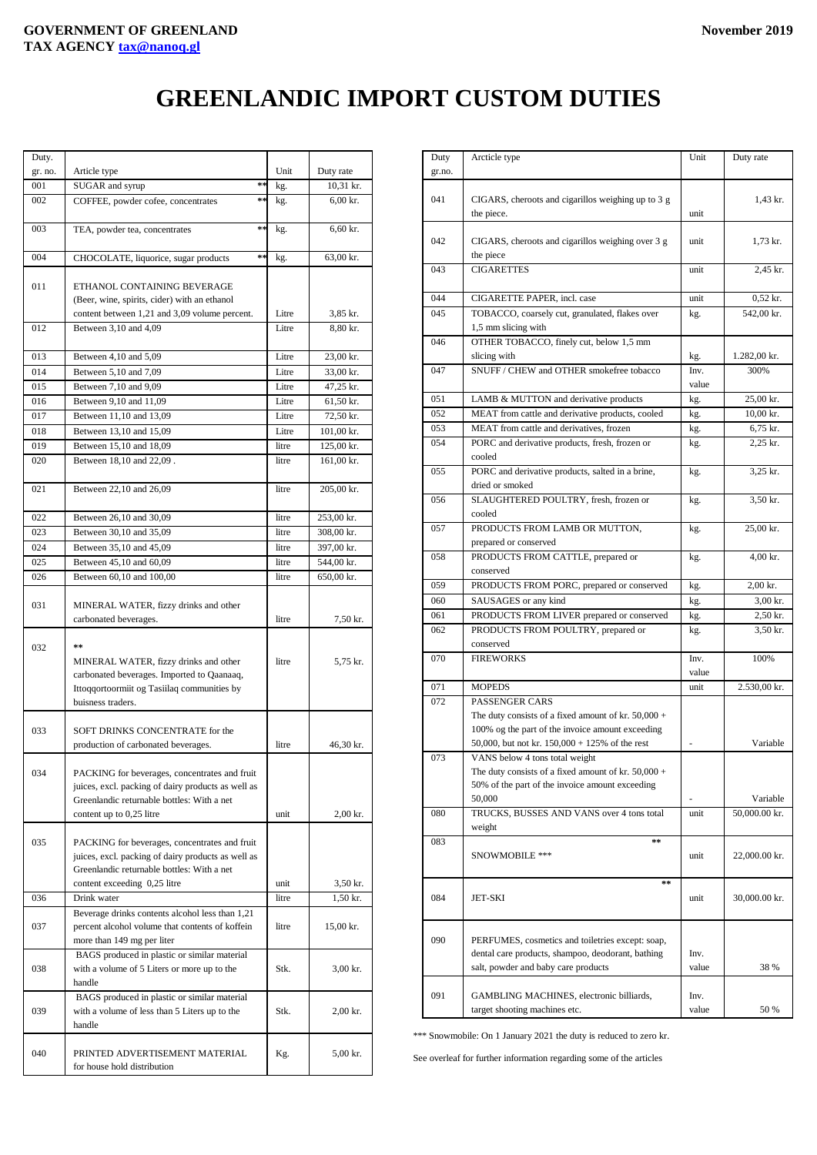## **GREENLANDIC IMPORT CUSTOM DUTIES**

| Duty.   |                                                             |       |                                    |
|---------|-------------------------------------------------------------|-------|------------------------------------|
| gr. no. | Article type                                                | Unit  | Duty rate                          |
| 001     | $\approx 5$<br>SUGAR and syrup                              | kg.   | 10,31 kr.                          |
| 002     | COFFEE, powder cofee, concentrates<br>$\approx$ $\approx$   | kg.   | $6,00$ kr.                         |
|         |                                                             |       |                                    |
| 003     | $\approx$ $\approx$<br>TEA, powder tea, concentrates        | kg.   | 6,60 kr.                           |
|         |                                                             |       |                                    |
| 004     | $\approx$ $\approx$<br>CHOCOLATE, liquorice, sugar products | kg.   | 63,00 kr.                          |
|         |                                                             |       |                                    |
| 011     | ETHANOL CONTAINING BEVERAGE                                 |       |                                    |
|         | (Beer, wine, spirits, cider) with an ethanol                |       |                                    |
|         | content between 1,21 and 3,09 volume percent.               | Litre | 3,85 kr.                           |
| 012     | Between 3,10 and 4,09                                       | Litre | 8,80 kr.                           |
| 013     | Between 4,10 and 5,09                                       | Litre | 23,00 kr.                          |
| 014     |                                                             | Litre |                                    |
| 015     | Between 5,10 and 7,09                                       | Litre | 33,00 kr.                          |
| 016     | Between 7,10 and 9,09                                       | Litre | 47,25 kr.<br>61,50 kr.             |
| 017     | Between 9,10 and 11,09                                      | Litre |                                    |
| 018     | Between 11,10 and 13,09<br>Between 13,10 and 15,09          | Litre | 72,50 kr.                          |
| 019     | Between 15,10 and 18,09                                     | litre | $101,00 \text{ kr.}$<br>125,00 kr. |
| 020     |                                                             | litre |                                    |
|         | Between 18,10 and 22,09.                                    |       | 161,00 kr.                         |
| 021     | Between 22,10 and 26,09                                     | litre | 205,00 kr.                         |
|         |                                                             |       |                                    |
| 022     | Between 26,10 and 30,09                                     | litre | 253,00 kr.                         |
| 023     | Between 30,10 and 35,09                                     | litre | 308,00 kr.                         |
| 024     | Between 35,10 and 45,09                                     | litre | 397,00 kr.                         |
| 025     | Between 45,10 and 60,09                                     | litre | 544,00 kr.                         |
| 026     | Between 60,10 and 100,00                                    | litre | 650,00 kr.                         |
|         |                                                             |       |                                    |
| 031     | MINERAL WATER, fizzy drinks and other                       |       |                                    |
|         | carbonated beverages.                                       | litre | 7,50 kr.                           |
|         |                                                             |       |                                    |
| 032     | $**$                                                        |       |                                    |
|         | MINERAL WATER, fizzy drinks and other                       | litre | 5,75 kr.                           |
|         | carbonated beverages. Imported to Qaanaaq,                  |       |                                    |
|         | Ittoqqortoormiit og Tasiilaq communities by                 |       |                                    |
|         | buisness traders.                                           |       |                                    |
|         |                                                             |       |                                    |
| 033     | SOFT DRINKS CONCENTRATE for the                             | litre |                                    |
|         | production of carbonated beverages.                         |       | 46,30 kr.                          |
| 034     | PACKING for beverages, concentrates and fruit               |       |                                    |
|         | juices, excl. packing of dairy products as well as          |       |                                    |
|         | Greenlandic returnable bottles: With a net                  |       |                                    |
|         | content up to 0,25 litre                                    | unit  | $2,00$ kr.                         |
|         |                                                             |       |                                    |
| 035     | PACKING for beverages, concentrates and fruit               |       |                                    |
|         | juices, excl. packing of dairy products as well as          |       |                                    |
|         | Greenlandic returnable bottles: With a net                  |       |                                    |
|         | content exceeding 0,25 litre                                | unit  | 3,50 kr.                           |
| 036     | Drink water                                                 | litre | 1,50 kr.                           |
|         | Beverage drinks contents alcohol less than 1,21             |       |                                    |
| 037     | percent alcohol volume that contents of koffein             | litre | 15,00 kr.                          |
|         | more than 149 mg per liter                                  |       |                                    |
| 038     | BAGS produced in plastic or similar material                | Stk.  |                                    |
|         | with a volume of 5 Liters or more up to the<br>handle       |       | 3,00 kr.                           |
|         | BAGS produced in plastic or similar material                |       |                                    |
| 039     | with a volume of less than 5 Liters up to the               | Stk.  | 2,00 kr.                           |
|         | handle                                                      |       |                                    |
|         |                                                             |       |                                    |
| 040     | PRINTED ADVERTISEMENT MATERIAL                              | Kg.   | 5,00 kr.                           |
|         | for house hold distribution                                 |       |                                    |

| Duty   | Arcticle type                                         | Unit  | Duty rate           |
|--------|-------------------------------------------------------|-------|---------------------|
| gr.no. |                                                       |       |                     |
|        |                                                       |       |                     |
| 041    | CIGARS, cheroots and cigarillos weighing up to 3 g    |       | 1,43 kr.            |
|        | the piece.                                            | unit  |                     |
|        |                                                       |       |                     |
|        |                                                       |       |                     |
| 042    | CIGARS, cheroots and cigarillos weighing over 3 g     | unit  | 1,73 kr.            |
|        | the piece                                             |       |                     |
| 043    | <b>CIGARETTES</b>                                     | unit  | 2,45 kr.            |
|        |                                                       |       |                     |
| 044    | CIGARETTE PAPER, incl. case                           | unit  | $0,52$ kr.          |
| 045    | TOBACCO, coarsely cut, granulated, flakes over        | kg.   | 542,00 kr.          |
|        | 1,5 mm slicing with                                   |       |                     |
|        |                                                       |       |                     |
| 046    | OTHER TOBACCO, finely cut, below 1,5 mm               |       |                     |
|        | slicing with                                          | kg.   | 1.282,00 kr.        |
| 047    | SNUFF / CHEW and OTHER smokefree tobacco              | Inv.  | 300%                |
|        |                                                       | value |                     |
| 051    | LAMB & MUTTON and derivative products                 | kg.   | 25,00 kr.           |
| 052    | MEAT from cattle and derivative products, cooled      | kg.   | $10,00 \text{ kr.}$ |
| 053    | MEAT from cattle and derivatives, frozen              |       | 6,75 kr.            |
|        |                                                       | kg.   |                     |
| 054    | PORC and derivative products, fresh, frozen or        | kg.   | 2,25 kr.            |
|        | cooled                                                |       |                     |
| 055    | PORC and derivative products, salted in a brine,      | kg.   | 3,25 kr.            |
|        | dried or smoked                                       |       |                     |
| 056    | SLAUGHTERED POULTRY, fresh, frozen or                 | kg.   | 3,50 kr.            |
|        | cooled                                                |       |                     |
| 057    | PRODUCTS FROM LAMB OR MUTTON,                         |       | 25,00 kr.           |
|        |                                                       | kg.   |                     |
|        | prepared or conserved                                 |       |                     |
| 058    | PRODUCTS FROM CATTLE, prepared or                     | kg.   | $4,00$ kr.          |
|        | conserved                                             |       |                     |
| 059    | PRODUCTS FROM PORC, prepared or conserved             | kg.   | $2,00$ kr.          |
| 060    | SAUSAGES or any kind                                  | kg.   | 3,00 kr.            |
| 061    | PRODUCTS FROM LIVER prepared or conserved             | kg.   | 2,50 kr.            |
| 062    | PRODUCTS FROM POULTRY, prepared or                    |       | 3,50 kr.            |
|        |                                                       | kg.   |                     |
|        | conserved                                             |       |                     |
| 070    | <b>FIREWORKS</b>                                      | Inv.  | 100%                |
|        |                                                       | value |                     |
| 071    | <b>MOPEDS</b>                                         | unit  | 2.530,00 kr.        |
| 072    | PASSENGER CARS                                        |       |                     |
|        | The duty consists of a fixed amount of kr. $50,000 +$ |       |                     |
|        | 100% og the part of the invoice amount exceeding      |       |                     |
|        | 50,000, but not kr. $150,000 + 125\%$ of the rest     |       | Variable            |
| 073    | VANS below 4 tons total weight                        |       |                     |
|        | The duty consists of a fixed amount of kr. $50,000 +$ |       |                     |
|        |                                                       |       |                     |
|        | 50% of the part of the invoice amount exceeding       |       |                     |
|        | 50,000                                                |       | Variable            |
| 080    | TRUCKS, BUSSES AND VANS over 4 tons total             | unit  | 50,000.00 kr.       |
|        | weight                                                |       |                     |
| 083    | $\pm \pm$                                             |       |                     |
|        | SNOWMOBILE ***                                        | unit  | 22,000.00 kr.       |
|        |                                                       |       |                     |
|        | $\pm$ $\pm$                                           |       |                     |
| 084    | JET-SKI                                               | unit  | 30,000.00 kr.       |
|        |                                                       |       |                     |
|        |                                                       |       |                     |
|        |                                                       |       |                     |
| 090    | PERFUMES, cosmetics and toiletries except: soap,      |       |                     |
|        | dental care products, shampoo, deodorant, bathing     | Inv.  |                     |
|        | salt, powder and baby care products                   | value | 38 %                |
|        |                                                       |       |                     |
| 091    | GAMBLING MACHINES, electronic billiards,              | Inv.  |                     |
|        | target shooting machines etc.                         | value | 50 %                |
|        |                                                       |       |                     |

\*\*\* Snowmobile: On 1 January 2021 the duty is reduced to zero kr.

See overleaf for further information regarding some of the articles